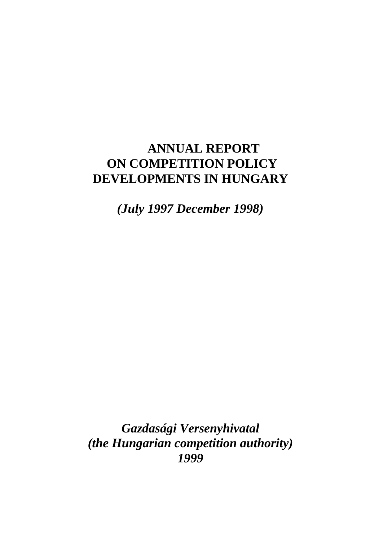# **ANNUAL REPORT ON COMPETITION POLICY DEVELOPMENTS IN HUNGARY**

*(July 1997 December 1998)*

*Gazdasági Versenyhivatal (the Hungarian competition authority) 1999*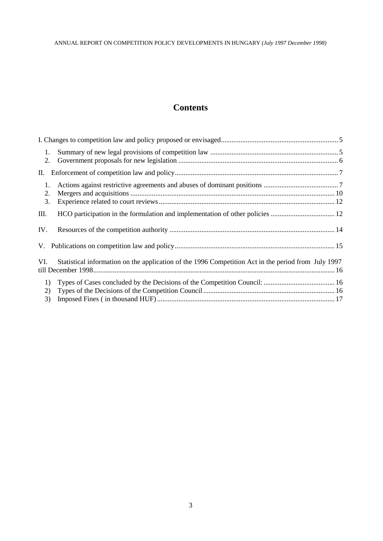# **Contents**

| 1.<br>2.       |                                                                                                     |  |
|----------------|-----------------------------------------------------------------------------------------------------|--|
|                |                                                                                                     |  |
| 1.<br>2.<br>3. |                                                                                                     |  |
| Ш.             |                                                                                                     |  |
| IV.            |                                                                                                     |  |
|                |                                                                                                     |  |
| VI.            | Statistical information on the application of the 1996 Competition Act in the period from July 1997 |  |
| 1)<br>2)<br>3) |                                                                                                     |  |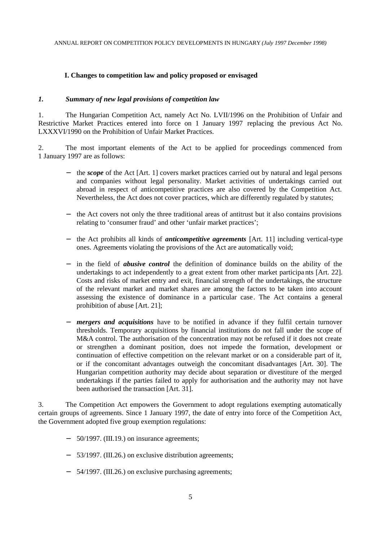#### **I. Changes to competition law and policy proposed or envisaged**

#### *1. Summary of new legal provisions of competition law*

1. The Hungarian Competition Act, namely Act No. LVII/1996 on the Prohibition of Unfair and Restrictive Market Practices entered into force on 1 January 1997 replacing the previous Act No. LXXXVI/1990 on the Prohibition of Unfair Market Practices.

2. The most important elements of the Act to be applied for proceedings commenced from 1 January 1997 are as follows:

- the *scope* of the Act [Art. 1] covers market practices carried out by natural and legal persons and companies without legal personality. Market activities of undertakings carried out abroad in respect of anticompetitive practices are also covered by the Competition Act. Nevertheless, the Act does not cover practices, which are differently regulated by statutes;
- − the Act covers not only the three traditional areas of antitrust but it also contains provisions relating to 'consumer fraud' and other 'unfair market practices';
- − the Act prohibits all kinds of *anticompetitive agreements* [Art. 11] including vertical-type ones. Agreements violating the provisions of the Act are automatically void;
- − in the field of *abusive control* the definition of dominance builds on the ability of the undertakings to act independently to a great extent from other market participa nts [Art. 22]. Costs and risks of market entry and exit, financial strength of the undertakings, the structure of the relevant market and market shares are among the factors to be taken into account assessing the existence of dominance in a particular case. The Act contains a general prohibition of abuse [Art. 21];
- − *mergers and acquisitions* have to be notified in advance if they fulfil certain turnover thresholds. Temporary acquisitions by financial institutions do not fall under the scope of M&A control. The authorisation of the concentration may not be refused if it does not create or strengthen a dominant position, does not impede the formation, development or continuation of effective competition on the relevant market or on a considerable part of it, or if the concomitant advantages outweigh the concomitant disadvantages [Art. 30]. The Hungarian competition authority may decide about separation or divestiture of the merged undertakings if the parties failed to apply for authorisation and the authority may not have been authorised the transaction [Art. 31].

3. The Competition Act empowers the Government to adopt regulations exempting automatically certain groups of agreements. Since 1 January 1997, the date of entry into force of the Competition Act, the Government adopted five group exemption regulations:

- − 50/1997. (III.19.) on insurance agreements;
- − 53/1997. (III.26.) on exclusive distribution agreements;
- − 54/1997. (III.26.) on exclusive purchasing agreements;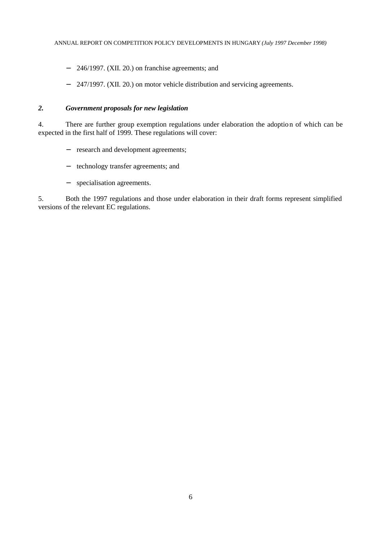- − 246/1997. (XII. 20.) on franchise agreements; and
- − 247/1997. (XII. 20.) on motor vehicle distribution and servicing agreements.

### *2. Government proposals for new legislation*

4. There are further group exemption regulations under elaboration the adoption of which can be expected in the first half of 1999. These regulations will cover:

- − research and development agreements;
- − technology transfer agreements; and
- − specialisation agreements.

5. Both the 1997 regulations and those under elaboration in their draft forms represent simplified versions of the relevant EC regulations.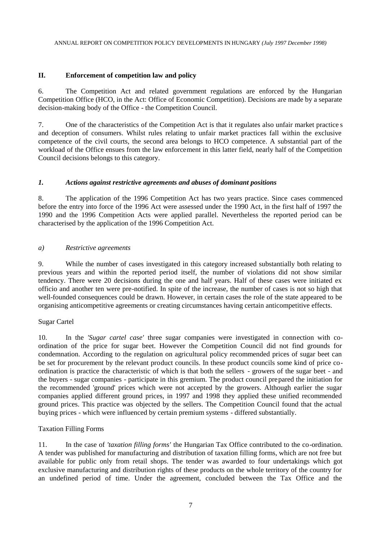## **II. Enforcement of competition law and policy**

6. The Competition Act and related government regulations are enforced by the Hungarian Competition Office (HCO, in the Act: Office of Economic Competition). Decisions are made by a separate decision-making body of the Office - the Competition Council.

7. One of the characteristics of the Competition Act is that it regulates also unfair market practice s and deception of consumers. Whilst rules relating to unfair market practices fall within the exclusive competence of the civil courts, the second area belongs to HCO competence. A substantial part of the workload of the Office ensues from the law enforcement in this latter field, nearly half of the Competition Council decisions belongs to this category.

## *1. Actions against restrictive agreements and abuses of dominant positions*

8. The application of the 1996 Competition Act has two years practice. Since cases commenced before the entry into force of the 1996 Act were assessed under the 1990 Act, in the first half of 1997 the 1990 and the 1996 Competition Acts were applied parallel. Nevertheless the reported period can be characterised by the application of the 1996 Competition Act.

## *a) Restrictive agreements*

9. While the number of cases investigated in this category increased substantially both relating to previous years and within the reported period itself, the number of violations did not show similar tendency. There were 20 decisions during the one and half years. Half of these cases were initiated ex officio and another ten were pre-notified. In spite of the increase, the number of cases is not so high that well-founded consequences could be drawn. However, in certain cases the role of the state appeared to be organising anticompetitive agreements or creating circumstances having certain anticompetitive effects.

#### Sugar Cartel

10. In the *'Sugar cartel case'* three sugar companies were investigated in connection with coordination of the price for sugar beet. However the Competition Council did not find grounds for condemnation. According to the regulation on agricultural policy recommended prices of sugar beet can be set for procurement by the relevant product councils. In these product councils some kind of price coordination is practice the characteristic of which is that both the sellers - growers of the sugar beet - and the buyers - sugar companies - participate in this gremium. The product council prepared the initiation for the recommended 'ground' prices which were not accepted by the growers. Although earlier the sugar companies applied different ground prices, in 1997 and 1998 they applied these unified recommended ground prices. This practice was objected by the sellers. The Competition Council found that the actual buying prices - which were influenced by certain premium systems - differed substantially.

# Taxation Filling Forms

11. In the case of *'taxation filling forms'* the Hungarian Tax Office contributed to the co-ordination. A tender was published for manufacturing and distribution of taxation filling forms, which are not free but available for public only from retail shops. The tender was awarded to four undertakings which got exclusive manufacturing and distribution rights of these products on the whole territory of the country for an undefined period of time. Under the agreement, concluded between the Tax Office and the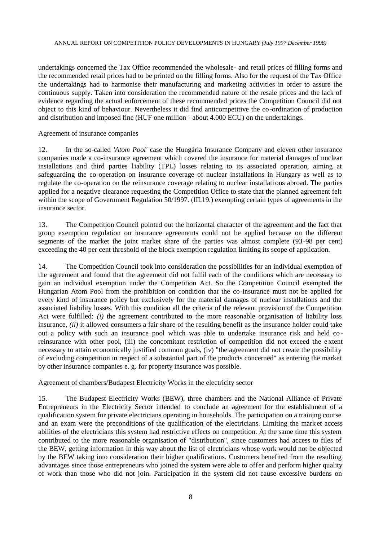undertakings concerned the Tax Office recommended the wholesale- and retail prices of filling forms and the recommended retail prices had to be printed on the filling forms. Also for the request of the Tax Office the undertakings had to harmonise their manufacturing and marketing activities in order to assure the continuous supply. Taken into consideration the recommended nature of the resale prices and the lack of evidence regarding the actual enforcement of these recommended prices the Competition Council did not object to this kind of behaviour. Nevertheless it did find anticompetitive the co-ordination of production and distribution and imposed fine (HUF one million - about 4.000 ECU) on the undertakings.

#### Agreement of insurance companies

12. In the so-called *'Atom Pool'* case the Hungária Insurance Company and eleven other insurance companies made a co-insurance agreement which covered the insurance for material damages of nuclear installations and third parties liability (TPL) losses relating to its associated operation, aiming at safeguarding the co-operation on insurance coverage of nuclear installations in Hungary as well as to regulate the co-operation on the reinsurance coverage relating to nuclear installati ons abroad. The parties applied for a negative clearance requesting the Competition Office to state that the planned agreement felt within the scope of Government Regulation 50/1997. (III.19.) exempting certain types of agreements in the insurance sector.

13. The Competition Council pointed out the horizontal character of the agreement and the fact that group exemption regulation on insurance agreements could not be applied because on the different segments of the market the joint market share of the parties was almost complete (93-98 per cent) exceeding the 40 per cent threshold of the block exemption regulation limiting its scope of application.

14. The Competition Council took into consideration the possibilities for an individual exemption of the agreement and found that the agreement did not fulfil each of the conditions which are necessary to gain an individual exemption under the Competition Act. So the Competition Council exempted the Hungarian Atom Pool from the prohibition on condition that the co-insurance must not be applied for every kind of insurance policy but exclusively for the material damages of nuclear installations and the associated liability losses. With this condition all the criteria of the relevant provision of the Competition Act were fulfilled: *(i)* the agreement contributed to the more reasonable organisation of liability loss insurance, *(ii)* it allowed consumers a fair share of the resulting benefit as the insurance holder could take out a policy with such an insurance pool which was able to undertake insurance risk and held coreinsurance with other pool, (iii) the concomitant restriction of competition did not exceed the e xtent necessary to attain economically justified common goals, (iv) "the agreement did not create the possibility of excluding competition in respect of a substantial part of the products concerned" as entering the market by other insurance companies e. g. for property insurance was possible.

Agreement of chambers/Budapest Electricity Works in the electricity sector

15. The Budapest Electricity Works (BEW), three chambers and the National Alliance of Private Entrepreneurs in the Electricity Sector intended to conclude an agreement for the establishment of a qualification system for private electricians operating in households. The participation on a training course and an exam were the preconditions of the qualification of the electricians. Limiting the mark et access abilities of the electricians this system had restrictive effects on competition. At the same time this system contributed to the more reasonable organisation of "distribution", since customers had access to files of the BEW, getting information in this way about the list of electricians whose work would not be objected by the BEW taking into consideration their higher qualifications. Customers benefited from the resulting advantages since those entrepreneurs who joined the system were able to offer and perform higher quality of work than those who did not join. Participation in the system did not cause excessive burdens on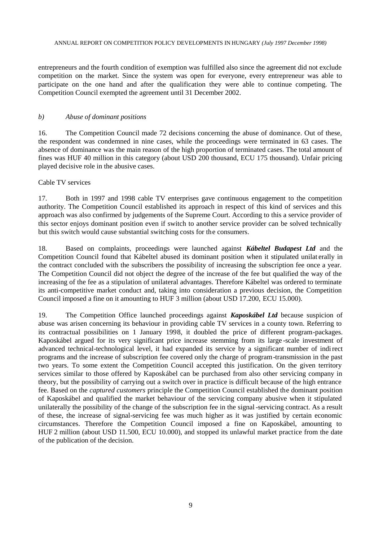entrepreneurs and the fourth condition of exemption was fulfilled also since the agreement did not exclude competition on the market. Since the system was open for everyone, every entrepreneur was able to participate on the one hand and after the qualification they were able to continue competing. The Competition Council exempted the agreement until 31 December 2002.

#### *b) Abuse of dominant positions*

16. The Competition Council made 72 decisions concerning the abuse of dominance. Out of these, the respondent was condemned in nine cases, while the proceedings were terminated in 63 cases. The absence of dominance was the main reason of the high proportion of terminated cases. The total amount of fines was HUF 40 million in this category (about USD 200 thousand, ECU 175 thousand). Unfair pricing played decisive role in the abusive cases.

## Cable TV services

17. Both in 1997 and 1998 cable TV enterprises gave continuous engagement to the competition authority. The Competition Council established its approach in respect of this kind of services and this approach was also confirmed by judgements of the Supreme Court. According to this a service provider of this sector enjoys dominant position even if switch to another service provider can be solved technically but this switch would cause substantial switching costs for the consumers.

18. Based on complaints, proceedings were launched against *Kábeltel Budapest Ltd* and the Competition Council found that Kábeltel abused its dominant position when it stipulated unilat erally in the contract concluded with the subscribers the possibility of increasing the subscription fee once a year. The Competition Council did not object the degree of the increase of the fee but qualified the way of the increasing of the fee as a stipulation of unilateral advantages. Therefore Kábeltel was ordered to terminate its anti-competitive market conduct and, taking into consideration a previous decision, the Competition Council imposed a fine on it amounting to HUF 3 million (about USD 17.200, ECU 15.000).

19. The Competition Office launched proceedings against *Kaposkábel Ltd* because suspicion of abuse was arisen concerning its behaviour in providing cable TV services in a county town. Referring to its contractual possibilities on 1 January 1998, it doubled the price of different program-packages. Kaposkábel argued for its very significant price increase stemming from its large -scale investment of advanced technical-technological level, it had expanded its service by a significant number of indirect programs and the increase of subscription fee covered only the charge of program-transmission in the past two years. To some extent the Competition Council accepted this justification. On the given territory services similar to those offered by Kaposkábel can be purchased from also other servicing company in theory, but the possibility of carrying out a switch over in practice is difficult because of the high entrance fee. Based on the *captured customers* principle the Competition Council established the dominant position of Kaposkábel and qualified the market behaviour of the servicing company abusive when it stipulated unilaterally the possibility of the change of the subscription fee in the signal-servicing contract. As a result of these, the increase of signal-servicing fee was much higher as it was justified by certain economic circumstances. Therefore the Competition Council imposed a fine on Kaposkábel, amounting to HUF 2 million (about USD 11.500, ECU 10.000), and stopped its unlawful market practice from the date of the publication of the decision.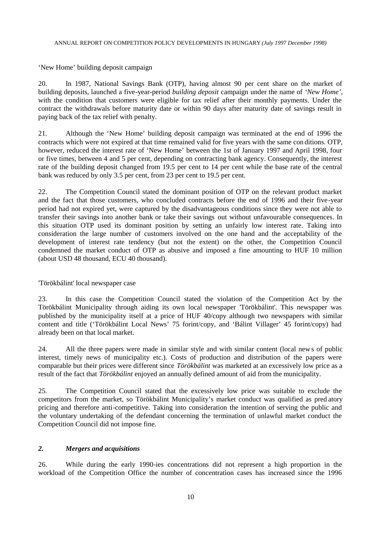'New Home' building deposit campaign

20. In 1987, National Savings Bank (OTP), having almost 90 per cent share on the market of building deposits, launched a five-year-period *building deposit* campaign under the name of *'New Home'*, with the condition that customers were eligible for tax relief after their monthly payments. Under the contract the withdrawals before maturity date or within 90 days after maturity date of savings result in paying back of the tax relief with penalty.

21. Although the 'New Home' building deposit campaign was terminated at the end of 1996 the contracts which were not expired at that time remained valid for five years with the same con ditions. OTP, however, reduced the interest rate of 'New Home' between the 1st of January 1997 and April 1998, four or five times, between 4 and 5 per cent, depending on contracting bank agency. Consequently, the interest rate of the building deposit changed from 19.5 per cent to 14 per cent while the base rate of the central bank was reduced by only 3.5 per cent, from 23 per cent to 19.5 per cent.

22. The Competition Council stated the dominant position of OTP on the relevant product market and the fact that those customers, who concluded contracts before the end of 1996 and their five -year period had not expired yet, were captured by the disadvantageous conditions since they were not able to transfer their savings into another bank or take their savings out without unfavourable consequences. In this situation OTP used its dominant position by setting an unfairly low interest rate. Taking into consideration the large number of customers involved on the one hand and the acceptability of the development of interest rate tendency (but not the extent) on the other, the Competition Council condemned the market conduct of OTP as abusive and imposed a fine amounting to HUF 10 million (about USD 48 thousand, ECU 40 thousand).

#### 'Törökbálint' local newspaper case

23. In this case the Competition Council stated the violation of the Competition Act by the Törökbálint Municipality through aiding its own local newspaper 'Törökbálint'. This newspaper was published by the municipality itself at a price of HUF 40/copy although two newspapers with similar content and title ('Törökbálint Local News' 75 forint/copy, and 'Bálint Villager' 45 forint/copy) had already been on that local market.

24. All the three papers were made in similar style and with similar content (local news of public interest, timely news of municipality etc.). Costs of production and distribution of the papers were comparable but their prices were different since *Törökbálint* was marketed at an excessively low price as a result of the fact that *Törökbálint* enjoyed an annually defined amount of aid from the municipality.

25. The Competition Council stated that the excessively low price was suitable to exclude the competitors from the market, so Törökbálint Municipality's market conduct was qualified as pred atory pricing and therefore anti-competitive. Taking into consideration the intention of serving the public and the voluntary undertaking of the defendant concerning the termination of unlawful market conduct the Competition Council did not impose fine.

# *2. Mergers and acquisitions*

26. While during the early 1990-ies concentrations did not represent a high proportion in the workload of the Competition Office the number of concentration cases has increased since the 1996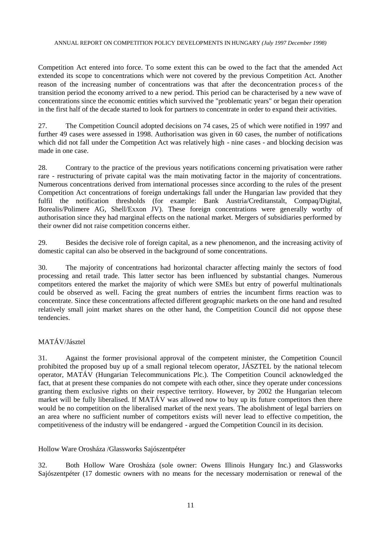Competition Act entered into force. To some extent this can be owed to the fact that the amended Act extended its scope to concentrations which were not covered by the previous Competition Act. Another reason of the increasing number of concentrations was that after the deconcentration process of the transition period the economy arrived to a new period. This period can be characterised by a new wave of concentrations since the economic entities which survived the "problematic years" or began their operation in the first half of the decade started to look for partners to concentrate in order to expand their activities.

27. The Competition Council adopted decisions on 74 cases, 25 of which were notified in 1997 and further 49 cases were assessed in 1998. Authorisation was given in 60 cases, the number of notifications which did not fall under the Competition Act was relatively high - nine cases - and blocking decision was made in one case.

28. Contrary to the practice of the previous years notifications concerning privatisation were rather rare - restructuring of private capital was the main motivating factor in the majority of concentrations. Numerous concentrations derived from international processes since according to the rules of the present Competition Act concentrations of foreign undertakings fall under the Hungarian law provided that they fulfil the notification thresholds (for example: Bank Austria/Creditanstalt, Compaq/Digital, Borealis/Polimere AG, Shell/Exxon JV). These foreign concentrations were generally worthy of authorisation since they had marginal effects on the national market. Mergers of subsidiaries performed by their owner did not raise competition concerns either.

29. Besides the decisive role of foreign capital, as a new phenomenon, and the increasing activity of domestic capital can also be observed in the background of some concentrations.

30. The majority of concentrations had horizontal character affecting mainly the sectors of food processing and retail trade. This latter sector has been influenced by substantial changes. Numerous competitors entered the market the majority of which were SMEs but entry of powerful multinationals could be observed as well. Facing the great numbers of entries the incumbent firms reaction was to concentrate. Since these concentrations affected different geographic markets on the one hand and resulted relatively small joint market shares on the other hand, the Competition Council did not oppose these tendencies.

# MATÁV/Jásztel

31. Against the former provisional approval of the competent minister, the Competition Council prohibited the proposed buy up of a small regional telecom operator, JÁSZTEL by the national telecom operator, MATÁV (Hungarian Telecommunications Plc.). The Competition Council acknowledged the fact, that at present these companies do not compete with each other, since they operate under concessions granting them exclusive rights on their respective territory. However, by 2002 the Hungarian telecom market will be fully liberalised. If MATÁV was allowed now to buy up its future competitors then there would be no competition on the liberalised market of the next years. The abolishment of legal barriers on an area where no sufficient number of competitors exists will never lead to effective competition, the competitiveness of the industry will be endangered - argued the Competition Council in its decision.

Hollow Ware Orosháza /Glassworks Sajószentpéter

32. Both Hollow Ware Orosháza (sole owner: Owens Illinois Hungary Inc.) and Glassworks Sajószentpéter (17 domestic owners with no means for the necessary modernisation or renewal of the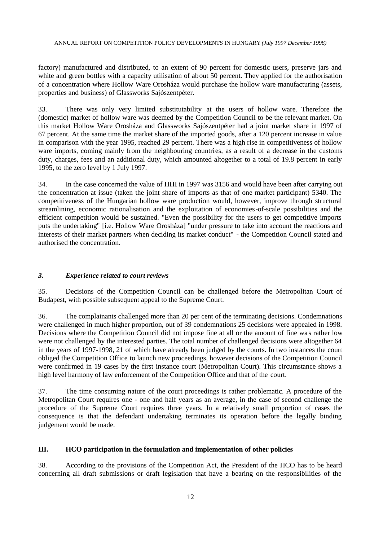factory) manufactured and distributed, to an extent of 90 percent for domestic users, preserve jars and white and green bottles with a capacity utilisation of about 50 percent. They applied for the authorisation of a concentration where Hollow Ware Orosháza would purchase the hollow ware manufacturing (assets, properties and business) of Glassworks Sajószentpéter.

33. There was only very limited substitutability at the users of hollow ware. Therefore the (domestic) market of hollow ware was deemed by the Competition Council to be the relevant market. On this market Hollow Ware Orosháza and Glassworks Sajószentpéter had a joint market share in 1997 of 67 percent. At the same time the market share of the imported goods, after a 120 percent increase in value in comparison with the year 1995, reached 29 percent. There was a high rise in competitiveness of hollow ware imports, coming mainly from the neighbouring countries, as a result of a decrease in the customs duty, charges, fees and an additional duty, which amounted altogether to a total of 19.8 percent in early 1995, to the zero level by 1 July 1997.

34. In the case concerned the value of HHI in 1997 was 3156 and would have been after carrying out the concentration at issue (taken the joint share of imports as that of one market participant) 5340. The competitiveness of the Hungarian hollow ware production would, however, improve through structural streamlining, economic rationalisation and the exploitation of economies-of-scale possibilities and the efficient competition would be sustained. "Even the possibility for the users to get competitive imports puts the undertaking" [i.e. Hollow Ware Orosháza] "under pressure to take into account the reactions and interests of their market partners when deciding its market conduct" - the Competition Council stated and authorised the concentration.

#### *3. Experience related to court reviews*

35. Decisions of the Competition Council can be challenged before the Metropolitan Court of Budapest, with possible subsequent appeal to the Supreme Court.

36. The complainants challenged more than 20 per cent of the terminating decisions. Condemnations were challenged in much higher proportion, out of 39 condemnations 25 decisions were appealed in 1998. Decisions where the Competition Council did not impose fine at all or the amount of fine was rather low were not challenged by the interested parties. The total number of challenged decisions were altogether 64 in the years of 1997-1998, 21 of which have already been judged by the courts. In two instances the court obliged the Competition Office to launch new proceedings, however decisions of the Competition Council were confirmed in 19 cases by the first instance court (Metropolitan Court). This circumstance shows a high level harmony of law enforcement of the Competition Office and that of the court.

37. The time consuming nature of the court proceedings is rather problematic. A procedure of the Metropolitan Court requires one - one and half years as an average, in the case of second challenge the procedure of the Supreme Court requires three years. In a relatively small proportion of cases the consequence is that the defendant undertaking terminates its operation before the legally binding judgement would be made.

#### **III. HCO participation in the formulation and implementation of other policies**

38. According to the provisions of the Competition Act, the President of the HCO has to be heard concerning all draft submissions or draft legislation that have a bearing on the responsibilities of the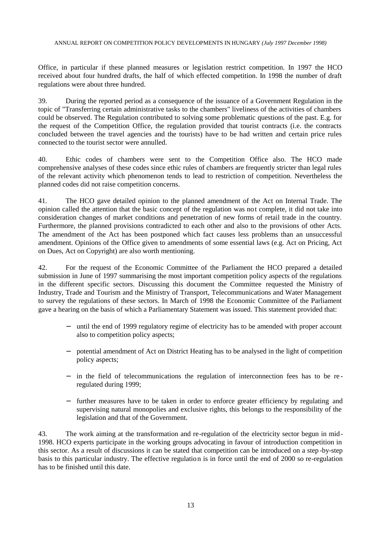Office, in particular if these planned measures or legislation restrict competition. In 1997 the HCO received about four hundred drafts, the half of which effected competition. In 1998 the number of draft regulations were about three hundred.

39. During the reported period as a consequence of the issuance of a Government Regulation in the topic of "Transferring certain administrative tasks to the chambers" liveliness of the activities of chambers could be observed. The Regulation contributed to solving some problematic questions of the past. E.g. for the request of the Competition Office, the regulation provided that tourist contracts (i.e. the contracts concluded between the travel agencies and the tourists) have to be had written and certain price rules connected to the tourist sector were annulled.

40. Ethic codes of chambers were sent to the Competition Office also. The HCO made comprehensive analyses of these codes since ethic rules of chambers are frequently stricter than legal rules of the relevant activity which phenomenon tends to lead to restriction of competition. Nevertheless the planned codes did not raise competition concerns.

41. The HCO gave detailed opinion to the planned amendment of the Act on Internal Trade. The opinion called the attention that the basic concept of the regulation was not complete, it did not take into consideration changes of market conditions and penetration of new forms of retail trade in the country. Furthermore, the planned provisions contradicted to each other and also to the provisions of other Acts. The amendment of the Act has been postponed which fact causes less problems than an unsuccessful amendment. Opinions of the Office given to amendments of some essential laws (e.g. Act on Pricing, Act on Dues, Act on Copyright) are also worth mentioning.

42. For the request of the Economic Committee of the Parliament the HCO prepared a detailed submission in June of 1997 summarising the most important competition policy aspects of the regulations in the different specific sectors. Discussing this document the Committee requested the Ministry of Industry, Trade and Tourism and the Ministry of Transport, Telecommunications and Water Management to survey the regulations of these sectors. In March of 1998 the Economic Committee of the Parliament gave a hearing on the basis of which a Parliamentary Statement was issued. This statement provided that:

- − until the end of 1999 regulatory regime of electricity has to be amended with proper account also to competition policy aspects;
- − potential amendment of Act on District Heating has to be analysed in the light of competition policy aspects;
- − in the field of telecommunications the regulation of interconnection fees has to be re regulated during 1999;
- further measures have to be taken in order to enforce greater efficiency by regulating and supervising natural monopolies and exclusive rights, this belongs to the responsibility of the legislation and that of the Government.

43. The work aiming at the transformation and re-regulation of the electricity sector begun in mid-1998. HCO experts participate in the working groups advocating in favour of introduction competition in this sector. As a result of discussions it can be stated that competition can be introduced on a step -by-step basis to this particular industry. The effective regulation is in force until the end of 2000 so re-regulation has to be finished until this date.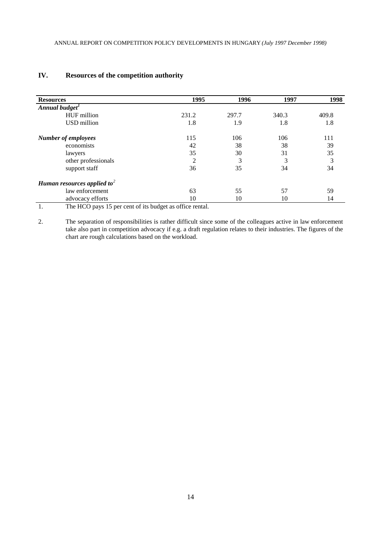| <b>Resources</b>                        | 1995  | 1996  | 1997  | 1998  |
|-----------------------------------------|-------|-------|-------|-------|
| Annual budget <sup>1</sup>              |       |       |       |       |
| HUF million                             | 231.2 | 297.7 | 340.3 | 409.8 |
| USD million                             | 1.8   | 1.9   | 1.8   | 1.8   |
| <b>Number of employees</b>              | 115   | 106   | 106   | 111   |
| economists                              | 42    | 38    | 38    | 39    |
| lawyers                                 | 35    | 30    | 31    | 35    |
| other professionals                     | 2     | 3     | 3     | 3     |
| support staff                           | 36    | 35    | 34    | 34    |
| Human resources applied to <sup>2</sup> |       |       |       |       |
| law enforcement                         | 63    | 55    | 57    | 59    |
| advocacy efforts                        | 10    | 10    | 10    | 14    |

# **IV. Resources of the competition authority**

1. The HCO pays 15 per cent of its budget as office rental.

2. The separation of responsibilities is rather difficult since some of the colleagues active in law enforcement take also part in competition advocacy if e.g. a draft regulation relates to their industries. The figures of the chart are rough calculations based on the workload.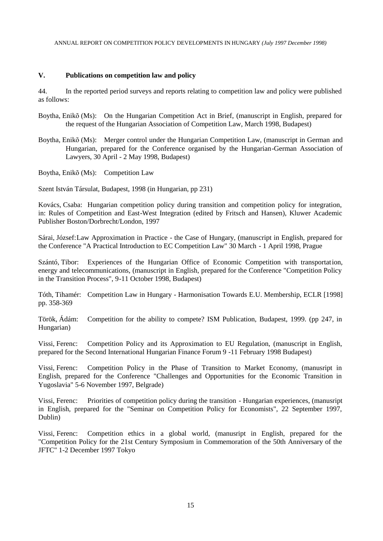## **V. Publications on competition law and policy**

44. In the reported period surveys and reports relating to competition law and policy were published as follows:

- Boytha, Enikõ (Ms): On the Hungarian Competition Act in Brief, (manuscript in English, prepared for the request of the Hungarian Association of Competition Law, March 1998, Budapest)
- Boytha, Enikõ (Ms): Merger control under the Hungarian Competition Law, (manuscript in German and Hungarian, prepared for the Conference organised by the Hungarian-German Association of Lawyers, 30 April - 2 May 1998, Budapest)

Boytha, Enikõ (Ms): Competition Law

Szent István Társulat, Budapest, 1998 (in Hungarian, pp 231)

Kovács, Csaba: Hungarian competition policy during transition and competition policy for integration, in: Rules of Competition and East-West Integration (edited by Fritsch and Hansen), Kluwer Academic Publisher Boston/Dorbrecht/London, 1997

Sárai, József:Law Approximation in Practice - the Case of Hungary, (manuscript in English, prepared for the Conference "A Practical Introduction to EC Competition Law" 30 March - 1 April 1998, Prague

Szántó, Tibor: Experiences of the Hungarian Office of Economic Competition with transportation, energy and telecommunications, (manuscript in English, prepared for the Conference "Competition Policy in the Transition Process", 9-11 October 1998, Budapest)

Tóth, Tihamér: Competition Law in Hungary - Harmonisation Towards E.U. Membership, ECLR [1998] pp. 358-369

Török, Ádám: Competition for the ability to compete? ISM Publication, Budapest, 1999. (pp 247, in Hungarian)

Vissi, Ferenc: Competition Policy and its Approximation to EU Regulation, (manuscript in English, prepared for the Second International Hungarian Finance Forum 9 -11 February 1998 Budapest)

Vissi, Ferenc: Competition Policy in the Phase of Transition to Market Economy, (manusript in English, prepared for the Conference "Challenges and Opportunities for the Economic Transition in Yugoslavia" 5-6 November 1997, Belgrade)

Vissi, Ferenc: Priorities of competition policy during the transition - Hungarian experiences, (manusript in English, prepared for the "Seminar on Competition Policy for Economists", 22 September 1997, Dublin)

Vissi, Ferenc: Competition ethics in a global world, (manusript in English, prepared for the "Competition Policy for the 21st Century Symposium in Commemoration of the 50th Anniversary of the JFTC" 1-2 December 1997 Tokyo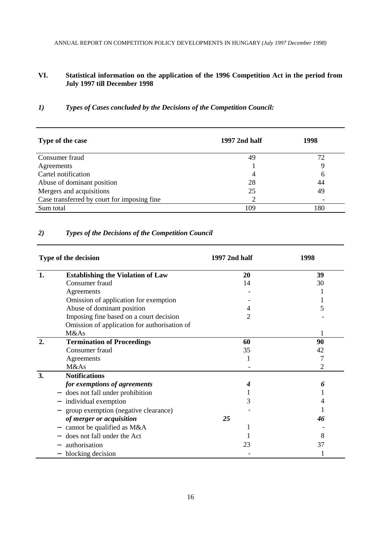# **VI. Statistical information on the application of the 1996 Competition Act in the period from July 1997 till December 1998**

# *1) Types of Cases concluded by the Decisions of the Competition Council:*

| Type of the case                            | 1997 2nd half  | 1998 |
|---------------------------------------------|----------------|------|
| Consumer fraud                              | 49             | 72   |
| Agreements                                  |                |      |
| Cartel notification                         | 4              | 6    |
| Abuse of dominant position                  | 28             | 44   |
| Mergers and acquisitions                    | 25             | 49   |
| Case transferred by court for imposing fine | $\overline{2}$ |      |
| Sum total                                   | 109            | 180  |

## *2) Types of the Decisions of the Competition Council*

| Type of the decision |                                              | 1997 2nd half | 1998 |
|----------------------|----------------------------------------------|---------------|------|
| 1.                   | <b>Establishing the Violation of Law</b>     | 20            | 39   |
|                      | Consumer fraud                               | 14            | 30   |
|                      | Agreements                                   |               |      |
|                      | Omission of application for exemption        |               |      |
|                      | Abuse of dominant position                   |               |      |
|                      | Imposing fine based on a court decision      | 2             |      |
|                      | Omission of application for authorisation of |               |      |
|                      | M&As                                         |               |      |
| 2.                   | <b>Termination of Proceedings</b>            | 60            | 90   |
|                      | Consumer fraud                               | 35            | 42   |
|                      | Agreements                                   |               | 7    |
|                      | M&As                                         |               | 2    |
| 3.                   | <b>Notifications</b>                         |               |      |
|                      | for exemptions of agreements                 |               | 6    |
|                      | does not fall under prohibition              |               |      |
|                      | individual exemption                         | 3             |      |
|                      | group exemption (negative clearance)         |               |      |
|                      | of merger or acquisition                     | 25            | 46   |
|                      | cannot be qualified as M&A                   |               |      |
|                      | does not fall under the Act                  |               | 8    |
|                      | authorisation                                | 23            | 37   |
|                      | blocking decision                            |               |      |